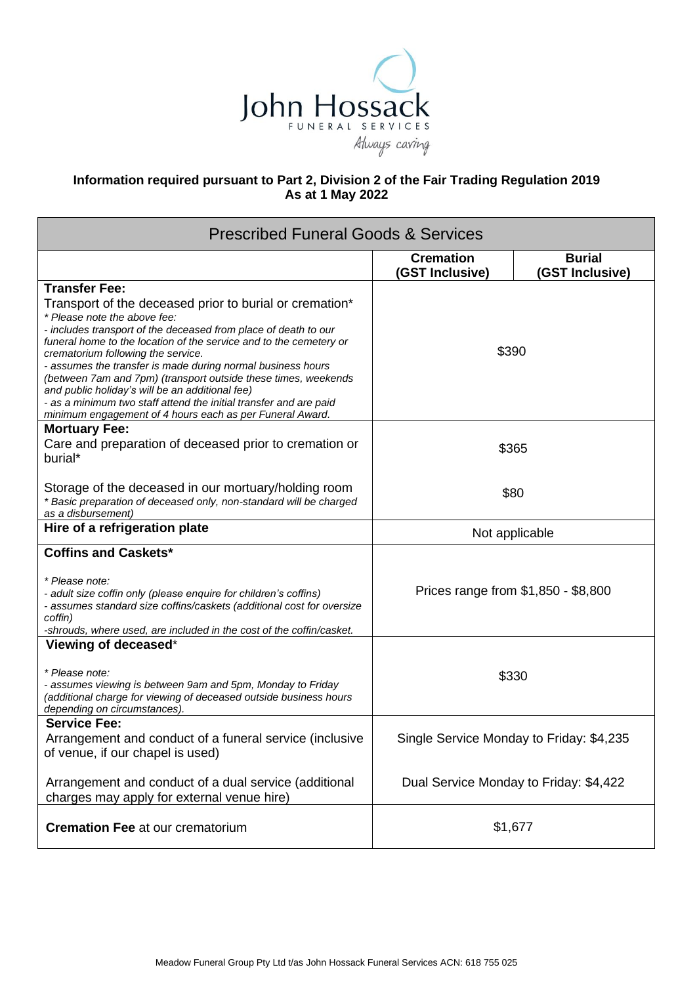

## **Information required pursuant to Part 2, Division 2 of the Fair Trading Regulation 2019 As at 1 May 2022**

| <b>Prescribed Funeral Goods &amp; Services</b>                                                                                                                                                                                                                                                                                                                                                                                                                                                                                                                                                                      |                                          |                                  |  |
|---------------------------------------------------------------------------------------------------------------------------------------------------------------------------------------------------------------------------------------------------------------------------------------------------------------------------------------------------------------------------------------------------------------------------------------------------------------------------------------------------------------------------------------------------------------------------------------------------------------------|------------------------------------------|----------------------------------|--|
|                                                                                                                                                                                                                                                                                                                                                                                                                                                                                                                                                                                                                     | <b>Cremation</b><br>(GST Inclusive)      | <b>Burial</b><br>(GST Inclusive) |  |
| <b>Transfer Fee:</b><br>Transport of the deceased prior to burial or cremation*<br>* Please note the above fee:<br>- includes transport of the deceased from place of death to our<br>funeral home to the location of the service and to the cemetery or<br>crematorium following the service.<br>- assumes the transfer is made during normal business hours<br>(between 7am and 7pm) (transport outside these times, weekends<br>and public holiday's will be an additional fee)<br>- as a minimum two staff attend the initial transfer and are paid<br>minimum engagement of 4 hours each as per Funeral Award. | \$390                                    |                                  |  |
| <b>Mortuary Fee:</b><br>Care and preparation of deceased prior to cremation or<br>burial*                                                                                                                                                                                                                                                                                                                                                                                                                                                                                                                           | \$365                                    |                                  |  |
| Storage of the deceased in our mortuary/holding room<br>* Basic preparation of deceased only, non-standard will be charged<br>as a disbursement)                                                                                                                                                                                                                                                                                                                                                                                                                                                                    | \$80                                     |                                  |  |
| Hire of a refrigeration plate                                                                                                                                                                                                                                                                                                                                                                                                                                                                                                                                                                                       | Not applicable                           |                                  |  |
| <b>Coffins and Caskets*</b><br>* Please note:<br>- adult size coffin only (please enquire for children's coffins)<br>- assumes standard size coffins/caskets (additional cost for oversize<br>coffin)<br>-shrouds, where used, are included in the cost of the coffin/casket.                                                                                                                                                                                                                                                                                                                                       | Prices range from \$1,850 - \$8,800      |                                  |  |
| Viewing of deceased*<br>* Please note:<br>- assumes viewing is between 9am and 5pm, Monday to Friday<br>(additional charge for viewing of deceased outside business hours<br>depending on circumstances).                                                                                                                                                                                                                                                                                                                                                                                                           | \$330                                    |                                  |  |
| <b>Service Fee:</b><br>Arrangement and conduct of a funeral service (inclusive<br>of venue, if our chapel is used)                                                                                                                                                                                                                                                                                                                                                                                                                                                                                                  | Single Service Monday to Friday: \$4,235 |                                  |  |
| Arrangement and conduct of a dual service (additional<br>charges may apply for external venue hire)                                                                                                                                                                                                                                                                                                                                                                                                                                                                                                                 | Dual Service Monday to Friday: \$4,422   |                                  |  |
| <b>Cremation Fee at our crematorium</b>                                                                                                                                                                                                                                                                                                                                                                                                                                                                                                                                                                             | \$1,677                                  |                                  |  |